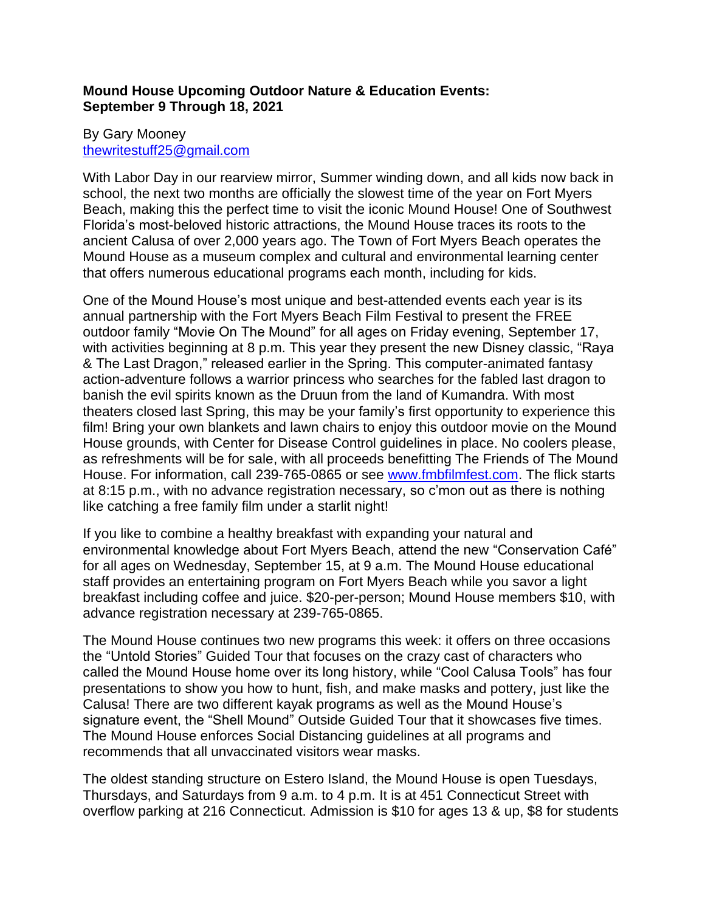# **Mound House Upcoming Outdoor Nature & Education Events: September 9 Through 18, 2021**

## By Gary Mooney [thewritestuff25@gmail.com](mailto:thewritestuff25@gmail.com)

With Labor Day in our rearview mirror, Summer winding down, and all kids now back in school, the next two months are officially the slowest time of the year on Fort Myers Beach, making this the perfect time to visit the iconic Mound House! One of Southwest Florida's most-beloved historic attractions, the Mound House traces its roots to the ancient Calusa of over 2,000 years ago. The Town of Fort Myers Beach operates the Mound House as a museum complex and cultural and environmental learning center that offers numerous educational programs each month, including for kids.

One of the Mound House's most unique and best-attended events each year is its annual partnership with the Fort Myers Beach Film Festival to present the FREE outdoor family "Movie On The Mound" for all ages on Friday evening, September 17, with activities beginning at 8 p.m. This year they present the new Disney classic, "Raya & The Last Dragon," released earlier in the Spring. This computer-animated fantasy action-adventure follows a warrior princess who searches for the fabled last dragon to banish the evil spirits known as the Druun from the land of Kumandra. With most theaters closed last Spring, this may be your family's first opportunity to experience this film! Bring your own blankets and lawn chairs to enjoy this outdoor movie on the Mound House grounds, with Center for Disease Control guidelines in place. No coolers please, as refreshments will be for sale, with all proceeds benefitting The Friends of The Mound House. For information, call 239-765-0865 or see [www.fmbfilmfest.com.](http://www.fmbfilmfest.com/) The flick starts at 8:15 p.m., with no advance registration necessary, so c'mon out as there is nothing like catching a free family film under a starlit night!

If you like to combine a healthy breakfast with expanding your natural and environmental knowledge about Fort Myers Beach, attend the new "Conservation Café" for all ages on Wednesday, September 15, at 9 a.m. The Mound House educational staff provides an entertaining program on Fort Myers Beach while you savor a light breakfast including coffee and juice. \$20-per-person; Mound House members \$10, with advance registration necessary at 239-765-0865.

The Mound House continues two new programs this week: it offers on three occasions the "Untold Stories" Guided Tour that focuses on the crazy cast of characters who called the Mound House home over its long history, while "Cool Calusa Tools" has four presentations to show you how to hunt, fish, and make masks and pottery, just like the Calusa! There are two different kayak programs as well as the Mound House's signature event, the "Shell Mound" Outside Guided Tour that it showcases five times. The Mound House enforces Social Distancing guidelines at all programs and recommends that all unvaccinated visitors wear masks.

The oldest standing structure on Estero Island, the Mound House is open Tuesdays, Thursdays, and Saturdays from 9 a.m. to 4 p.m. It is at 451 Connecticut Street with overflow parking at 216 Connecticut. Admission is \$10 for ages 13 & up, \$8 for students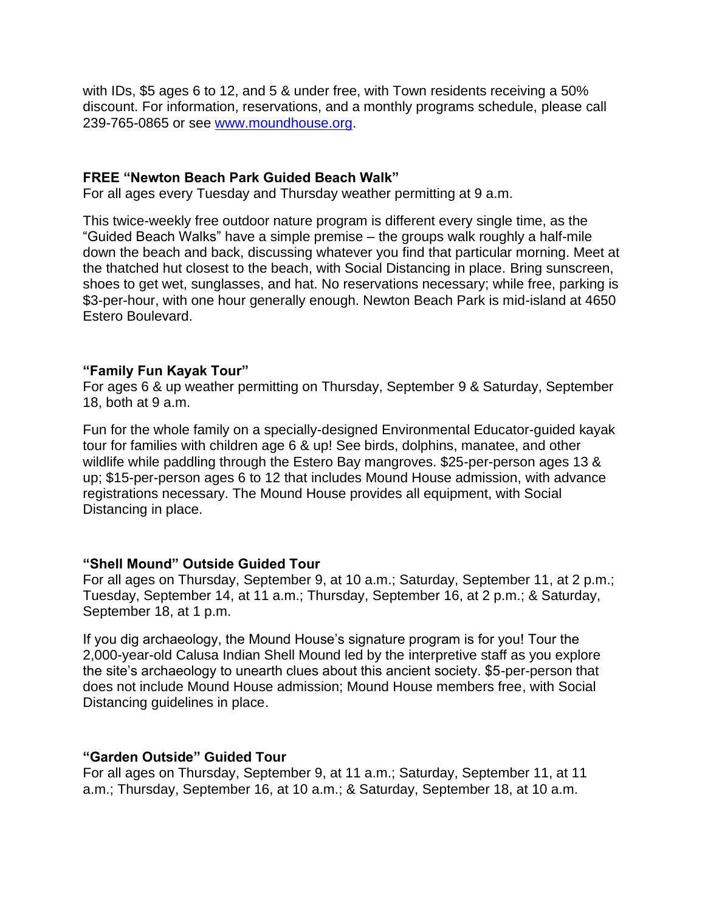with IDs, \$5 ages 6 to 12, and 5 & under free, with Town residents receiving a 50% discount. For information, reservations, and a monthly programs schedule, please call 239-765-0865 or see [www.moundhouse.org.](http://www.moundhouse.org/)

### **FREE "Newton Beach Park Guided Beach Walk"**

For all ages every Tuesday and Thursday weather permitting at 9 a.m.

This twice-weekly free outdoor nature program is different every single time, as the "Guided Beach Walks" have a simple premise – the groups walk roughly a half-mile down the beach and back, discussing whatever you find that particular morning. Meet at the thatched hut closest to the beach, with Social Distancing in place. Bring sunscreen, shoes to get wet, sunglasses, and hat. No reservations necessary; while free, parking is \$3-per-hour, with one hour generally enough. Newton Beach Park is mid-island at 4650 Estero Boulevard.

### **"Family Fun Kayak Tour"**

For ages 6 & up weather permitting on Thursday, September 9 & Saturday, September 18, both at 9 a.m.

Fun for the whole family on a specially-designed Environmental Educator-guided kayak tour for families with children age 6 & up! See birds, dolphins, manatee, and other wildlife while paddling through the Estero Bay mangroves. \$25-per-person ages 13 & up; \$15-per-person ages 6 to 12 that includes Mound House admission, with advance registrations necessary. The Mound House provides all equipment, with Social Distancing in place.

## **"Shell Mound" Outside Guided Tour**

For all ages on Thursday, September 9, at 10 a.m.; Saturday, September 11, at 2 p.m.; Tuesday, September 14, at 11 a.m.; Thursday, September 16, at 2 p.m.; & Saturday, September 18, at 1 p.m.

If you dig archaeology, the Mound House's signature program is for you! Tour the 2,000-year-old Calusa Indian Shell Mound led by the interpretive staff as you explore the site's archaeology to unearth clues about this ancient society. \$5-per-person that does not include Mound House admission; Mound House members free, with Social Distancing guidelines in place.

## **"Garden Outside" Guided Tour**

For all ages on Thursday, September 9, at 11 a.m.; Saturday, September 11, at 11 a.m.; Thursday, September 16, at 10 a.m.; & Saturday, September 18, at 10 a.m.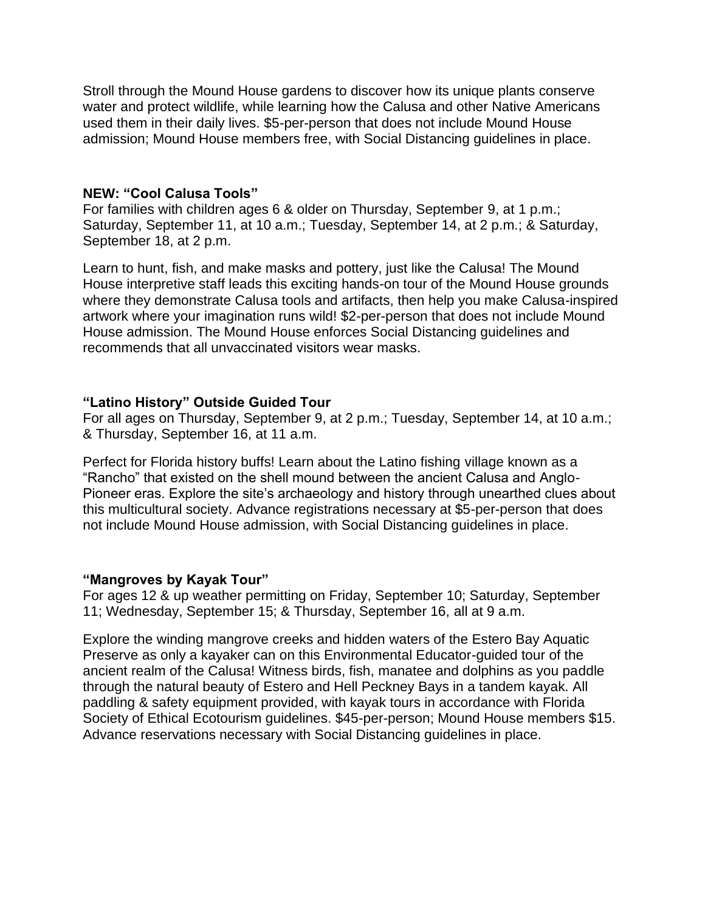Stroll through the Mound House gardens to discover how its unique plants conserve water and protect wildlife, while learning how the Calusa and other Native Americans used them in their daily lives. \$5-per-person that does not include Mound House admission; Mound House members free, with Social Distancing guidelines in place.

#### **NEW: "Cool Calusa Tools"**

For families with children ages 6 & older on Thursday, September 9, at 1 p.m.; Saturday, September 11, at 10 a.m.; Tuesday, September 14, at 2 p.m.; & Saturday, September 18, at 2 p.m.

Learn to hunt, fish, and make masks and pottery, just like the Calusa! The Mound House interpretive staff leads this exciting hands-on tour of the Mound House grounds where they demonstrate Calusa tools and artifacts, then help you make Calusa-inspired artwork where your imagination runs wild! \$2-per-person that does not include Mound House admission. The Mound House enforces Social Distancing guidelines and recommends that all unvaccinated visitors wear masks.

### **"Latino History" Outside Guided Tour**

For all ages on Thursday, September 9, at 2 p.m.; Tuesday, September 14, at 10 a.m.; & Thursday, September 16, at 11 a.m.

Perfect for Florida history buffs! Learn about the Latino fishing village known as a "Rancho" that existed on the shell mound between the ancient Calusa and Anglo-Pioneer eras. Explore the site's archaeology and history through unearthed clues about this multicultural society. Advance registrations necessary at \$5-per-person that does not include Mound House admission, with Social Distancing guidelines in place.

## **"Mangroves by Kayak Tour"**

For ages 12 & up weather permitting on Friday, September 10; Saturday, September 11; Wednesday, September 15; & Thursday, September 16, all at 9 a.m.

Explore the winding mangrove creeks and hidden waters of the Estero Bay Aquatic Preserve as only a kayaker can on this Environmental Educator-guided tour of the ancient realm of the Calusa! Witness birds, fish, manatee and dolphins as you paddle through the natural beauty of Estero and Hell Peckney Bays in a tandem kayak. All paddling & safety equipment provided, with kayak tours in accordance with Florida Society of Ethical Ecotourism guidelines. \$45-per-person; Mound House members \$15. Advance reservations necessary with Social Distancing guidelines in place.